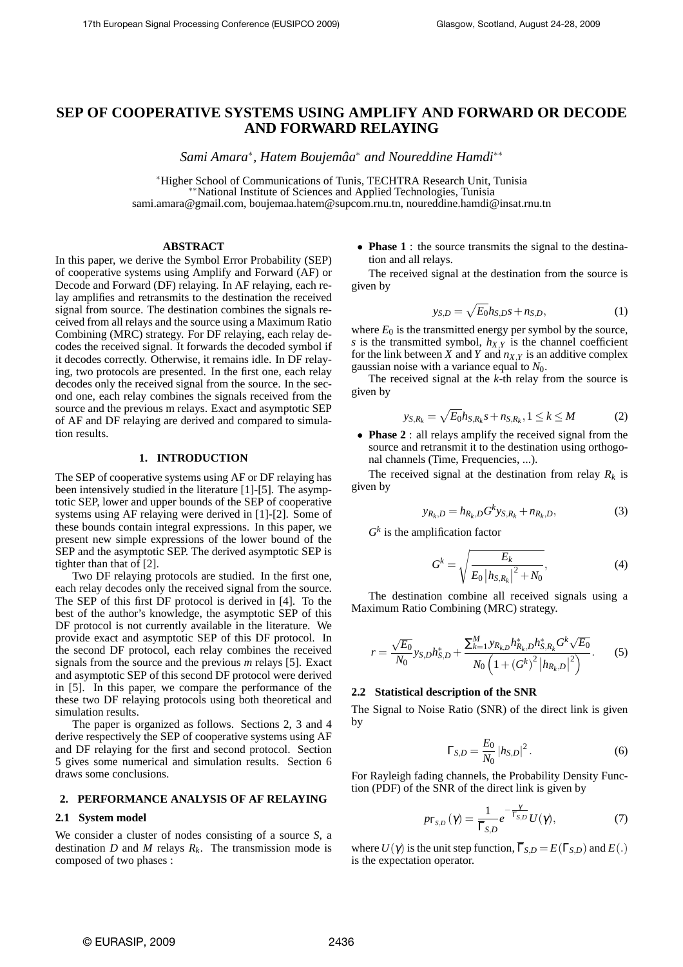# **SEP OF COOPERATIVE SYSTEMS USING AMPLIFY AND FORWARD OR DECODE AND FORWARD RELAYING**

*Sami Amara*<sup>∗</sup> *, Hatem Boujemaaˆ* <sup>∗</sup> *and Noureddine Hamdi*∗∗

∗Higher School of Communications of Tunis, TECHTRA Research Unit, Tunisia ∗∗National Institute of Sciences and Applied Technologies, Tunisia sami.amara@gmail.com, boujemaa.hatem@supcom.rnu.tn, noureddine.hamdi@insat.rnu.tn

## **ABSTRACT**

In this paper, we derive the Symbol Error Probability (SEP) of cooperative systems using Amplify and Forward (AF) or Decode and Forward (DF) relaying. In AF relaying, each relay amplifies and retransmits to the destination the received signal from source. The destination combines the signals received from all relays and the source using a Maximum Ratio Combining (MRC) strategy. For DF relaying, each relay decodes the received signal. It forwards the decoded symbol if it decodes correctly. Otherwise, it remains idle. In DF relaying, two protocols are presented. In the first one, each relay decodes only the received signal from the source. In the second one, each relay combines the signals received from the source and the previous m relays. Exact and asymptotic SEP of AF and DF relaying are derived and compared to simulation results.

## **1. INTRODUCTION**

The SEP of cooperative systems using AF or DF relaying has been intensively studied in the literature [1]-[5]. The asymptotic SEP, lower and upper bounds of the SEP of cooperative systems using AF relaying were derived in [1]-[2]. Some of these bounds contain integral expressions. In this paper, we present new simple expressions of the lower bound of the SEP and the asymptotic SEP. The derived asymptotic SEP is tighter than that of [2].

Two DF relaying protocols are studied. In the first one, each relay decodes only the received signal from the source. The SEP of this first DF protocol is derived in [4]. To the best of the author's knowledge, the asymptotic SEP of this DF protocol is not currently available in the literature. We provide exact and asymptotic SEP of this DF protocol. In the second DF protocol, each relay combines the received signals from the source and the previous *m* relays [5]. Exact and asymptotic SEP of this second DF protocol were derived in [5]. In this paper, we compare the performance of the these two DF relaying protocols using both theoretical and simulation results.

The paper is organized as follows. Sections 2, 3 and 4 derive respectively the SEP of cooperative systems using AF and DF relaying for the first and second protocol. Section 5 gives some numerical and simulation results. Section 6 draws some conclusions.

#### **2. PERFORMANCE ANALYSIS OF AF RELAYING**

#### **2.1 System model**

We consider a cluster of nodes consisting of a source *S*, a destination *D* and *M* relays *R<sup>k</sup>* . The transmission mode is composed of two phases :

• **Phase 1** : the source transmits the signal to the destination and all relays.

The received signal at the destination from the source is given by

$$
y_{S,D} = \sqrt{E_0} h_{S,D} s + n_{S,D},\tag{1}
$$

where  $E_0$  is the transmitted energy per symbol by the source, *s* is the transmitted symbol,  $h_{X,Y}$  is the channel coefficient for the link between *X* and *Y* and  $n_{X,Y}$  is an additive complex gaussian noise with a variance equal to *N*0.

The received signal at the *k*-th relay from the source is given by

$$
y_{S,R_k} = \sqrt{E_0} h_{S,R_k} s + n_{S,R_k}, 1 \le k \le M
$$
 (2)

• **Phase 2** : all relays amplify the received signal from the source and retransmit it to the destination using orthogonal channels (Time, Frequencies, ...).

The received signal at the destination from relay *R<sup>k</sup>* is given by

$$
y_{R_k,D} = h_{R_k,D} G^k y_{S,R_k} + n_{R_k,D},
$$
\n(3)

 $G<sup>k</sup>$  is the amplification factor

$$
G^{k} = \sqrt{\frac{E_{k}}{E_{0} |h_{S,R_{k}}|^{2} + N_{0}}},
$$
\n(4)

The destination combine all received signals using a Maximum Ratio Combining (MRC) strategy.

$$
r = \frac{\sqrt{E_0}}{N_0} y_{S,D} h_{S,D}^* + \frac{\sum_{k=1}^M y_{R_k,D} h_{R_k,D}^* h_{S,R_k}^* G^k \sqrt{E_0}}{N_0 \left(1 + (G^k)^2 \left|h_{R_k,D}\right|^2\right)}.
$$
 (5)

#### **2.2 Statistical description of the SNR**

The Signal to Noise Ratio (SNR) of the direct link is given by

$$
\Gamma_{S,D} = \frac{E_0}{N_0} |h_{S,D}|^2.
$$
 (6)

For Rayleigh fading channels, the Probability Density Function (PDF) of the SNR of the direct link is given by

$$
p_{\Gamma_{S,D}}(\gamma) = \frac{1}{\overline{\Gamma}_{S,D}} e^{-\frac{\gamma}{\overline{\Gamma}_{S,D}}} U(\gamma),\tag{7}
$$

where  $U(\gamma)$  is the unit step function,  $\overline{\Gamma}_{S,D} = E(\Gamma_{S,D})$  and  $E(.)$ is the expectation operator.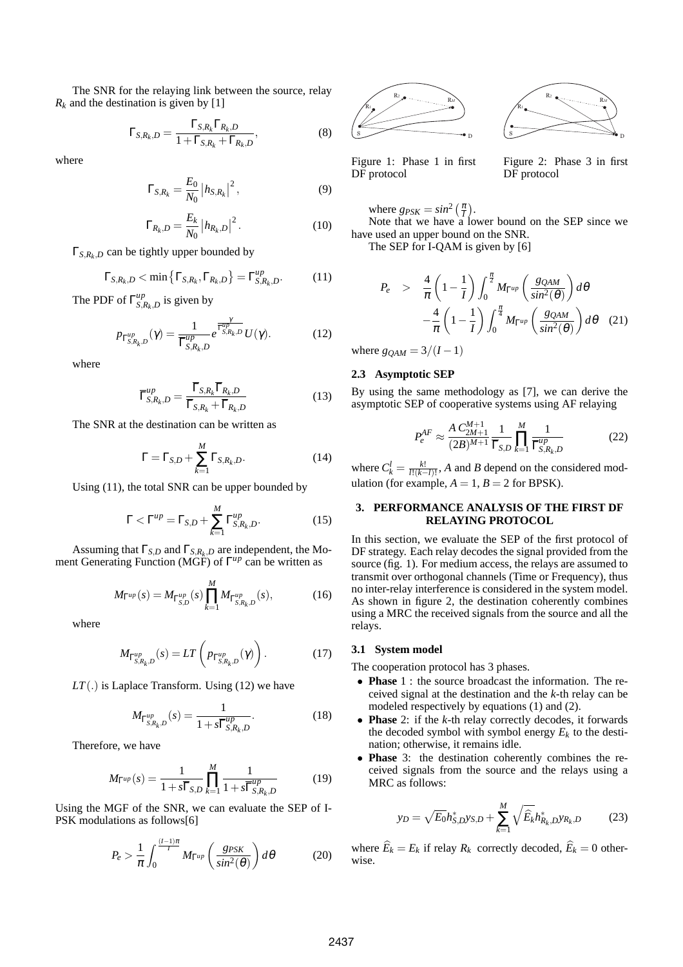The SNR for the relaying link between the source, relay  $R_k$  and the destination is given by [1]

$$
\Gamma_{S,R_k,D} = \frac{\Gamma_{S,R_k} \Gamma_{R_k,D}}{1 + \Gamma_{S,R_k} + \Gamma_{R_k,D}},
$$
\n(8)

where

$$
\Gamma_{S,R_k} = \frac{E_0}{N_0} |h_{S,R_k}|^2, \tag{9}
$$

$$
\Gamma_{R_k, D} = \frac{E_k}{N_0} |h_{R_k, D}|^2.
$$
 (10)

Γ*S*,*R<sup>k</sup>* ,*<sup>D</sup>* can be tightly upper bounded by

$$
\Gamma_{S,R_k,D} < \min\left\{\Gamma_{S,R_k}, \Gamma_{R_k,D}\right\} = \Gamma_{S,R_k,D}^{up}.\tag{11}
$$

The PDF of  $\Gamma_{S}^{up}$  ${}^{up}_{S,R_k,D}$  is given by

$$
p_{\Gamma_{S,R_k,D}^{\mu p}}(\gamma) = \frac{1}{\overline{\Gamma}_{S,R_k,D}^{\mu p}} e^{\frac{\gamma}{\overline{\Gamma}_{S,R_k,D}^{\mu p}}} U(\gamma). \tag{12}
$$

where

$$
\overline{\Gamma}_{S,R_k,D}^{\mu p} = \frac{\overline{\Gamma}_{S,R_k} \overline{\Gamma}_{R_k,D}}{\overline{\Gamma}_{S,R_k} + \overline{\Gamma}_{R_k,D}}
$$
(13)

The SNR at the destination can be written as

$$
\Gamma = \Gamma_{S,D} + \sum_{k=1}^{M} \Gamma_{S,R_k,D}.
$$
\n(14)

Using (11), the total SNR can be upper bounded by

$$
\Gamma < \Gamma^{up} = \Gamma_{S,D} + \sum_{k=1}^{M} \Gamma_{S,R_k,D}^{up}.\tag{15}
$$

Assuming that Γ*S*,*<sup>D</sup>* and Γ*S*,*R<sup>k</sup>* ,*<sup>D</sup>* are independent, the Moment Generating Function (MGF) of Γ *up* can be written as

$$
M_{\Gamma^{up}}(s) = M_{\Gamma_{S,D}^{up}}(s) \prod_{k=1}^{M} M_{\Gamma_{S,R_k,D}^{up}}(s),
$$
 (16)

where

$$
M_{\Gamma_{S,R_k,D}^{\mu\rho}}(s) = LT\left(p_{\Gamma_{S,R_k,D}^{\mu\rho}}(\gamma)\right).
$$
 (17)

*LT*(.) is Laplace Transform. Using (12) we have

$$
M_{\Gamma_{S,R_k,D}^{up}}(s) = \frac{1}{1 + s\overline{\Gamma_{S,R_k,D}^{up}}}.
$$
 (18)

Therefore, we have

$$
M_{\Gamma^{up}}(s) = \frac{1}{1 + s\overline{\Gamma}_{S,D}} \prod_{k=1}^{M} \frac{1}{1 + s\overline{\Gamma}_{S,R_k,D}^{up}}
$$
(19)

Using the MGF of the SNR, we can evaluate the SEP of I-PSK modulations as follows[6]

$$
P_e > \frac{1}{\pi} \int_0^{\frac{(I-1)\pi}{I}} M_{\Gamma^{up}} \left( \frac{g_{PSK}}{\sin^2(\theta)} \right) d\theta \tag{20}
$$





Figure 1: Phase 1 in first DF protocol

Figure 2: Phase 3 in first DF protocol

where  $g_{PSK} = \sin^2\left(\frac{\pi}{l}\right)$ .

Note that we have a lower bound on the SEP since we have used an upper bound on the SNR.

The SEP for I-QAM is given by [6]

$$
P_e > \frac{4}{\pi} \left( 1 - \frac{1}{I} \right) \int_0^{\frac{\pi}{2}} M_{\Gamma^{up}} \left( \frac{g_{QAM}}{\sin^2(\theta)} \right) d\theta
$$

$$
- \frac{4}{\pi} \left( 1 - \frac{1}{I} \right) \int_0^{\frac{\pi}{4}} M_{\Gamma^{up}} \left( \frac{g_{QAM}}{\sin^2(\theta)} \right) d\theta \quad (21)
$$

where  $g_{QAM} = 3/(I - 1)$ 

## **2.3 Asymptotic SEP**

By using the same methodology as [7], we can derive the asymptotic SEP of cooperative systems using AF relaying

$$
P_e^{AF} \approx \frac{A \, C_{2M+1}^{M+1}}{(2B)^{M+1}} \frac{1}{\overline{\Gamma}_{S,D}} \prod_{k=1}^M \frac{1}{\overline{\Gamma}_{S,R_k,D}^{up}} \tag{22}
$$

where  $C_k^l = \frac{k!}{l!(k-l)!}$ , *A* and *B* depend on the considered modulation (for example,  $A = 1$ ,  $B = 2$  for BPSK).

## **3. PERFORMANCE ANALYSIS OF THE FIRST DF RELAYING PROTOCOL**

In this section, we evaluate the SEP of the first protocol of DF strategy. Each relay decodes the signal provided from the source (fig. 1). For medium access, the relays are assumed to transmit over orthogonal channels (Time or Frequency), thus no inter-relay interference is considered in the system model. As shown in figure 2, the destination coherently combines using a MRC the received signals from the source and all the relays.

## **3.1 System model**

The cooperation protocol has 3 phases.

- **Phase** 1 : the source broadcast the information. The received signal at the destination and the *k*-th relay can be modeled respectively by equations (1) and (2).
- **Phase** 2: if the *k*-th relay correctly decodes, it forwards the decoded symbol with symbol energy  $E_k$  to the destination; otherwise, it remains idle.
- **Phase** 3: the destination coherently combines the received signals from the source and the relays using a MRC as follows:

$$
y_D = \sqrt{E_0} h_{S,D}^* y_{S,D} + \sum_{k=1}^M \sqrt{\widehat{E}_k} h_{R_k,D}^* y_{R_k,D}
$$
 (23)

where  $E_k = E_k$  if relay  $R_k$  correctly decoded,  $E_k = 0$  otherwise.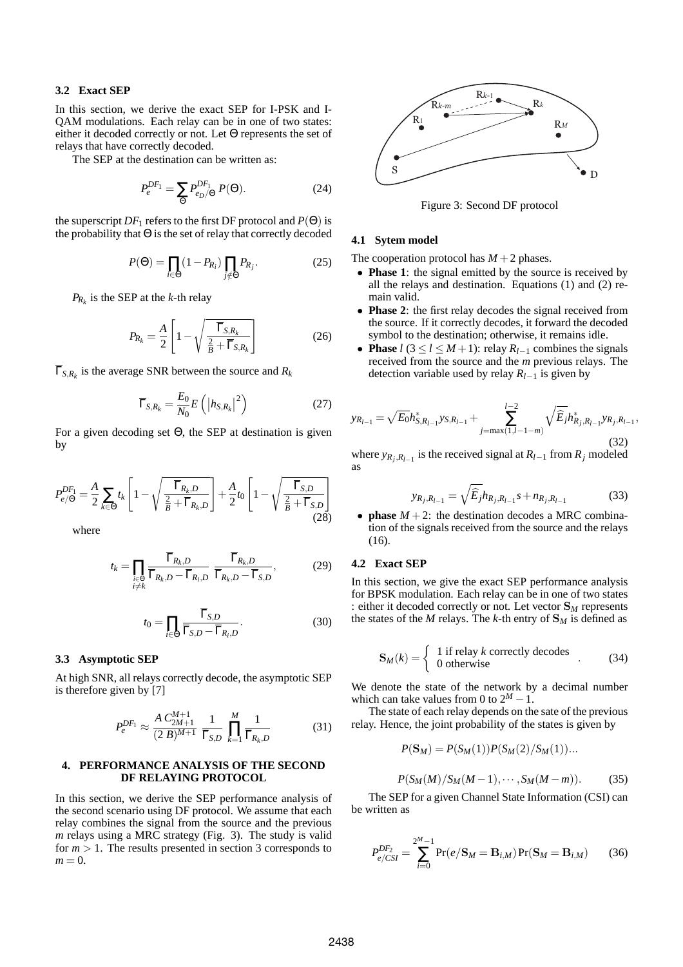#### **3.2 Exact SEP**

In this section, we derive the exact SEP for I-PSK and I-QAM modulations. Each relay can be in one of two states: either it decoded correctly or not. Let Θ represents the set of relays that have correctly decoded.

The SEP at the destination can be written as:

$$
P_e^{DF_1} = \sum_{\Theta} P_{e_D/\Theta}^{DF_1} P(\Theta). \tag{24}
$$

the superscript  $DF_1$  refers to the first DF protocol and  $P(\Theta)$  is the probability that  $\Theta$  is the set of relay that correctly decoded

$$
P(\Theta) = \prod_{i \in \Theta} (1 - P_{R_i}) \prod_{j \notin \Theta} P_{R_j}.
$$
 (25)

 $P_{R_k}$  is the SEP at the *k*-th relay

$$
P_{R_k} = \frac{A}{2} \left[ 1 - \sqrt{\frac{\overline{\Gamma}_{S,R_k}}{\frac{2}{B} + \overline{\Gamma}_{S,R_k}}} \right]
$$
(26)

Γ*S*,*R<sup>k</sup>* is the average SNR between the source and *R<sup>k</sup>*

$$
\overline{\Gamma}_{S,R_k} = \frac{E_0}{N_0} E\left( \left| h_{S,R_k} \right|^2 \right) \tag{27}
$$

For a given decoding set Θ, the SEP at destination is given by

$$
P_{e/\Theta}^{DF_1} = \frac{A}{2} \sum_{k \in \Theta} t_k \left[ 1 - \sqrt{\frac{\overline{\Gamma}_{R_k, D}}{\frac{2}{B} + \overline{\Gamma}_{R_k, D}}} \right] + \frac{A}{2} t_0 \left[ 1 - \sqrt{\frac{\overline{\Gamma}_{S, D}}{\frac{2}{B} + \overline{\Gamma}_{S, D}}} \right] \tag{28}
$$

where

$$
t_k = \prod_{\substack{i \in \Theta \\ i \neq k}} \frac{\overline{\Gamma}_{R_k, D}}{\overline{\Gamma}_{R_k, D} - \overline{\Gamma}_{R_i, D}} \frac{\overline{\Gamma}_{R_k, D}}{\overline{\Gamma}_{R_k, D} - \overline{\Gamma}_{S, D}},
$$
(29)

$$
t_0 = \prod_{i \in \Theta} \frac{\overline{\Gamma}_{S,D}}{\overline{\Gamma}_{S,D} - \overline{\Gamma}_{R_i,D}}.
$$
 (30)

## **3.3 Asymptotic SEP**

At high SNR, all relays correctly decode, the asymptotic SEP is therefore given by [7]

$$
P_e^{DF_1} \approx \frac{A \, C_{2M+1}^{M+1}}{(2 \, B)^{M+1}} \, \frac{1}{\overline{\Gamma}_{S,D}} \, \prod_{k=1}^M \frac{1}{\overline{\Gamma}_{R_k, D}} \tag{31}
$$

# **4. PERFORMANCE ANALYSIS OF THE SECOND DF RELAYING PROTOCOL**

In this section, we derive the SEP performance analysis of the second scenario using DF protocol. We assume that each relay combines the signal from the source and the previous *m* relays using a MRC strategy (Fig. 3). The study is valid for  $m > 1$ . The results presented in section 3 corresponds to  $m = 0$ .



Figure 3: Second DF protocol

#### **4.1 Sytem model**

The cooperation protocol has  $M + 2$  phases.

- **Phase 1**: the signal emitted by the source is received by all the relays and destination. Equations (1) and (2) remain valid.
- **Phase 2**: the first relay decodes the signal received from the source. If it correctly decodes, it forward the decoded symbol to the destination; otherwise, it remains idle.
- **Phase**  $l$  (3 ≤  $l$  ≤  $M$  + 1): relay  $R_{l-1}$  combines the signals received from the source and the *m* previous relays. The detection variable used by relay  $R_{l-1}$  is given by

$$
y_{R_{l-1}} = \sqrt{E_0} h_{S,R_{l-1}}^* y_{S,R_{l-1}} + \sum_{j=\max(1,l-1-m)}^{l-2} \sqrt{\widehat{E}_j} h_{R_j,R_{l-1}}^* y_{R_j,R_{l-1}},
$$
\n(32)

where  $y_{R_j, R_{l-1}}$  is the received signal at  $R_{l-1}$  from  $R_j$  modeled as

$$
y_{R_j,R_{l-1}} = \sqrt{\widehat{E}_j} h_{R_j,R_{l-1}} s + n_{R_j,R_{l-1}}
$$
(33)

• **phase**  $M + 2$ : the destination decodes a MRC combination of the signals received from the source and the relays (16).

#### **4.2 Exact SEP**

In this section, we give the exact SEP performance analysis for BPSK modulation. Each relay can be in one of two states : either it decoded correctly or not. Let vector S*<sup>M</sup>* represents the states of the  $M$  relays. The  $k$ -th entry of  $S_M$  is defined as

$$
\mathbf{S}_M(k) = \begin{cases} 1 \text{ if relay } k \text{ correctly decodes} \\ 0 \text{ otherwise} \end{cases} (34)
$$

We denote the state of the network by a decimal number which can take values from 0 to  $2^M - 1$ .

The state of each relay depends on the sate of the previous relay. Hence, the joint probability of the states is given by

$$
P(S_M) = P(S_M(1))P(S_M(2)/S_M(1))...
$$
  

$$
P(S_M(M)/S_M(M-1),...,S_M(M-m)).
$$
 (35)

The SEP for a given Channel State Information (CSI) can be written as

$$
P_{e/CSI}^{DF_2} = \sum_{i=0}^{2^M - 1} \Pr(e/S_M = B_{i,M}) \Pr(S_M = B_{i,M}) \tag{36}
$$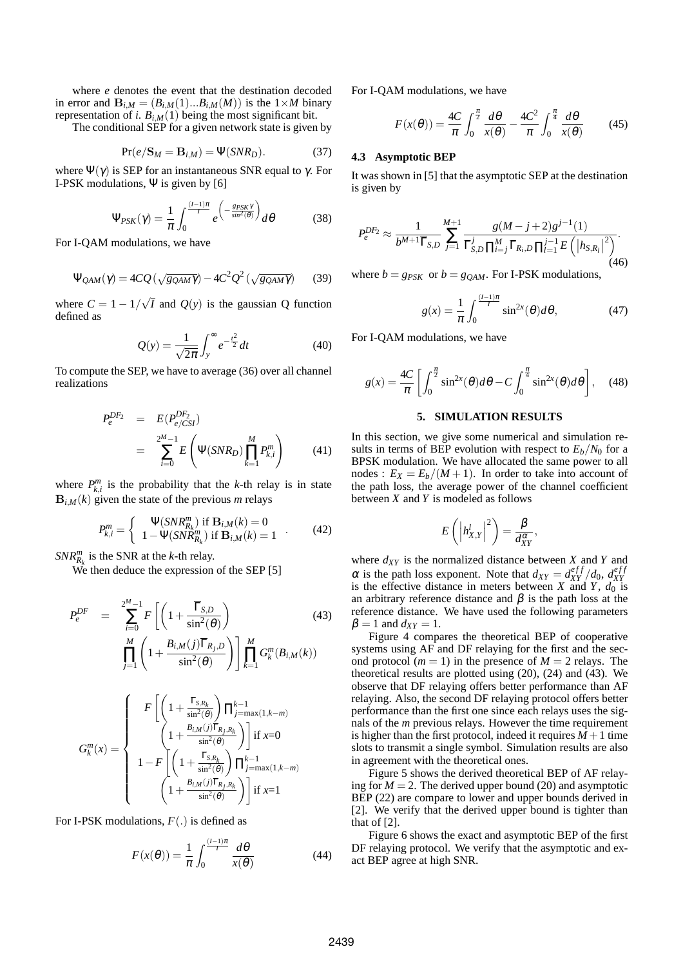where *e* denotes the event that the destination decoded in error and  $\mathbf{B}_{i,M} = (B_{i,M}(1)...B_{i,M}(M))$  is the  $1 \times M$  binary representation of *i*.  $B_{i,M}(1)$  being the most significant bit.

The conditional SEP for a given network state is given by

$$
Pr(e/S_M = B_{i,M}) = \Psi(SNR_D). \tag{37}
$$

where  $\Psi(\gamma)$  is SEP for an instantaneous SNR equal to  $\gamma$ . For I-PSK modulations, Ψ is given by [6]

$$
\Psi_{PSK}(\gamma) = \frac{1}{\pi} \int_0^{\frac{(I-1)\pi}{I}} e^{-\frac{SPSK\gamma}{sin^2(\theta)}} d\theta \tag{38}
$$

For I-QAM modulations, we have

$$
\Psi_{QAM}(\gamma) = 4CQ\left(\sqrt{g_{QAM}\gamma}\right) - 4C^2Q^2\left(\sqrt{g_{QAM}\gamma}\right) \tag{39}
$$

where  $C = 1 - 1/\sqrt{I}$  and  $Q(y)$  is the gaussian Q function defined as

$$
Q(y) = \frac{1}{\sqrt{2\pi}} \int_{y}^{\infty} e^{-\frac{t^2}{2}} dt
$$
 (40)

To compute the SEP, we have to average (36) over all channel realizations

$$
P_e^{DF_2} = E(P_{e/CSI}^{DF_2})
$$
  
= 
$$
\sum_{i=0}^{2^M-1} E\left(\Psi(SNR_D) \prod_{k=1}^M P_{k,i}^m\right)
$$
(41)

where  $P_{k,i}^m$  is the probability that the *k*-th relay is in state  $B_{i,M}(k)$  given the state of the previous *m* relays

$$
P_{k,i}^{m} = \begin{cases} \Psi(SNR_{R_k}^{m}) & \text{if } \mathbf{B}_{i,M}(k) = 0\\ 1 - \Psi(SNR_{R_k}^{m}) & \text{if } \mathbf{B}_{i,M}(k) = 1 \end{cases} (42)
$$

 $SNR_{R_k}^m$  is the SNR at the *k*-th relay.

We then deduce the expression of the SEP  $[5]$ 

$$
P_e^{DF} = \sum_{i=0}^{2^M-1} F\left[\left(1 + \frac{\overline{\Gamma}_{S,D}}{\sin^2(\theta)}\right) \right]
$$
(43)  

$$
\prod_{j=1}^M \left(1 + \frac{B_{i,M}(j)\overline{\Gamma}_{R_j,D}}{\sin^2(\theta)}\right) \prod_{k=1}^M G_k^m(B_{i,M}(k))
$$

$$
G_k^m(x) = \left\{ \begin{array}{c} F\left[\left(1 + \frac{\overline{\Gamma}_{S,R_k}}{\sin^2(\theta)}\right)\prod_{j=\max(1,k-m)}^{k-1} \right. \\ \left.\left(1 + \frac{B_{i,M}(j)\overline{\Gamma}_{R_j,R_k}}{\sin^2(\theta)}\right)\right] \text{if } x=0 \\ 1 - F\left[\left(1 + \frac{\overline{\Gamma}_{S,R_k}}{\sin^2(\theta)}\right)\prod_{j=\max(1,k-m)}^{k-1} \right. \\ \left.\left(1 + \frac{B_{i,M}(j)\overline{\Gamma}_{R_j,R_k}}{\sin^2(\theta)}\right)\right] \text{if } x=1 \end{array} \right.
$$

For I-PSK modulations, *F*(.) is defined as

$$
F(x(\theta)) = \frac{1}{\pi} \int_0^{\frac{(l-1)\pi}{l}} \frac{d\theta}{x(\theta)}
$$
(44)

For I-QAM modulations, we have

$$
F(x(\theta)) = \frac{4C}{\pi} \int_0^{\frac{\pi}{2}} \frac{d\theta}{x(\theta)} - \frac{4C^2}{\pi} \int_0^{\frac{\pi}{4}} \frac{d\theta}{x(\theta)} \qquad (45)
$$

## **4.3 Asymptotic BEP**

It was shown in [5] that the asymptotic SEP at the destination is given by

$$
P_e^{DF_2} \approx \frac{1}{b^{M+1}\overline{\Gamma}_{S,D}} \sum_{j=1}^{M+1} \frac{g(M-j+2)g^{j-1}(1)}{\overline{\Gamma}_{S,D}^j \prod_{i=j}^M \overline{\Gamma}_{R_i,D} \prod_{l=1}^{j-1} E\left(\left|h_{S,R_l}\right|^2\right)}.
$$
\n(46)

where  $b = g_{PSK}$  or  $b = g_{OAM}$ . For I-PSK modulations,

$$
g(x) = \frac{1}{\pi} \int_0^{\frac{(l-1)\pi}{l}} \sin^{2x}(\theta) d\theta,
$$
 (47)

For I-QAM modulations, we have

$$
g(x) = \frac{4C}{\pi} \left[ \int_0^{\frac{\pi}{2}} \sin^{2x}(\theta) d\theta - C \int_0^{\frac{\pi}{4}} \sin^{2x}(\theta) d\theta \right], \quad (48)
$$

#### **5. SIMULATION RESULTS**

In this section, we give some numerical and simulation results in terms of BEP evolution with respect to  $E_b/N_0$  for a BPSK modulation. We have allocated the same power to all nodes :  $E_X = E_b/(M+1)$ . In order to take into account of the path loss, the average power of the channel coefficient between *X* and *Y* is modeled as follows

$$
E\left(\left|h_{X,Y}^l\right|^2\right)=\frac{\beta}{d_{XY}^{\alpha}},
$$

where  $d_{XY}$  is the normalized distance between *X* and *Y* and  $\alpha$  is the path loss exponent. Note that  $d_{XY} = d_{XY}^{eff}/d_0$ ,  $d_{XY}^{eff}$ is the effective distance in meters between *X* and *Y*,  $d_0$  is an arbitrary reference distance and  $\beta$  is the path loss at the reference distance. We have used the following parameters  $\beta = 1$  and  $d_{XY} = 1$ .

Figure 4 compares the theoretical BEP of cooperative systems using AF and DF relaying for the first and the second protocol ( $m = 1$ ) in the presence of  $M = 2$  relays. The theoretical results are plotted using (20), (24) and (43). We observe that DF relaying offers better performance than AF relaying. Also, the second DF relaying protocol offers better performance than the first one since each relays uses the signals of the *m* previous relays. However the time requirement is higher than the first protocol, indeed it requires  $M + 1$  time slots to transmit a single symbol. Simulation results are also in agreement with the theoretical ones.

Figure 5 shows the derived theoretical BEP of AF relaying for  $M = 2$ . The derived upper bound (20) and asymptotic BEP (22) are compare to lower and upper bounds derived in [2]. We verify that the derived upper bound is tighter than that of [2].

Figure 6 shows the exact and asymptotic BEP of the first DF relaying protocol. We verify that the asymptotic and exact BEP agree at high SNR.